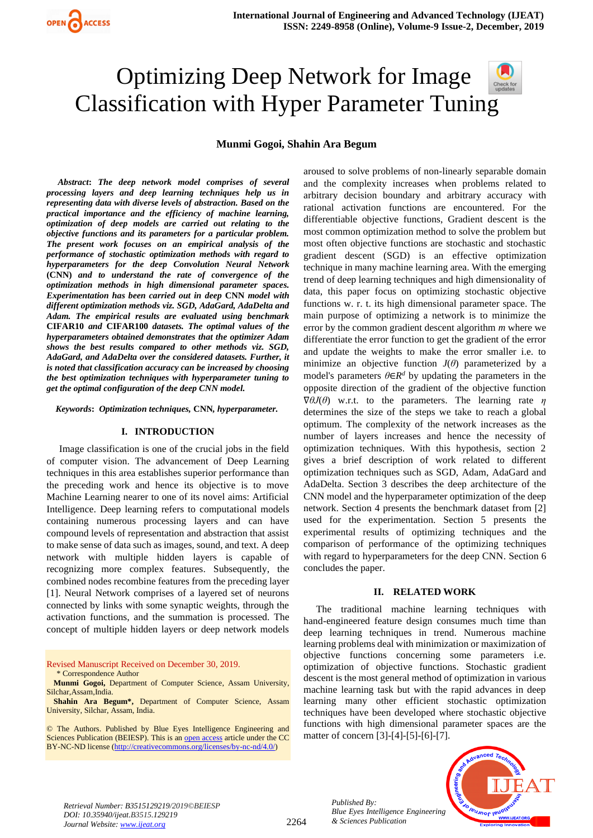# Optimizing Deep Network for Image Classification with Hyper Parameter Tunin[g](https://crossmark.crossref.org/dialog/?doi=10.35940/ijeat.B3515.129219&domain=www.ijeat.org)

### **Munmi Gogoi, Shahin Ara Begum**

 *Abstract***:** *The deep network model comprises of several processing layers and deep learning techniques help us in representing data with diverse levels of abstraction. Based on the practical importance and the efficiency of machine learning, optimization of deep models are carried out relating to the objective functions and its parameters for a particular problem. The present work focuses on an empirical analysis of the performance of stochastic optimization methods with regard to hyperparameters for the deep Convolution Neural Network*  **(CNN)** *and to understand the rate of convergence of the optimization methods in high dimensional parameter spaces. Experimentation has been carried out in deep* **CNN** *model with different optimization methods viz. SGD, AdaGard, AdaDelta and Adam. The empirical results are evaluated using benchmark*  **CIFAR10** *and* **CIFAR100** *datasets. The optimal values of the hyperparameters obtained demonstrates that the optimizer Adam shows the best results compared to other methods viz. SGD, AdaGard, and AdaDelta over the considered datasets. Further, it is noted that classification accuracy can be increased by choosing the best optimization techniques with hyperparameter tuning to get the optimal configuration of the deep CNN model.*

 *Keywords***:** *Optimization techniques,* **CNN***, hyperparameter.*

#### **I. INTRODUCTION**

Image classification is one of the crucial jobs in the field of computer vision. The advancement of Deep Learning techniques in this area establishes superior performance than the preceding work and hence its objective is to move Machine Learning nearer to one of its novel aims: Artificial Intelligence. Deep learning refers to computational models containing numerous processing layers and can have compound levels of representation and abstraction that assist to make sense of data such as images, sound, and text. A deep network with multiple hidden layers is capable of recognizing more complex features. Subsequently, the combined nodes recombine features from the preceding layer [1]. Neural Network comprises of a layered set of neurons connected by links with some synaptic weights, through the activation functions, and the summation is processed. The concept of multiple hidden layers or deep network models

Revised Manuscript Received on December 30, 2019. \* Correspondence Author

**Munmi Gogoi,** Department of Computer Science, Assam University, Silchar,Assam,India.

**Shahin Ara Begum\*,** Department of Computer Science, Assam University, Silchar, Assam, India.

© The Authors. Published by Blue Eyes Intelligence Engineering and Sciences Publication (BEIESP). This is a[n open access](https://www.openaccess.nl/en/open-publications) article under the CC BY-NC-ND license [\(http://creativecommons.org/licenses/by-nc-nd/4.0/\)](http://creativecommons.org/licenses/by-nc-nd/4.0/)

aroused to solve problems of non-linearly separable domain and the complexity increases when problems related to arbitrary decision boundary and arbitrary accuracy with rational activation functions are encountered. For the differentiable objective functions, Gradient descent is the most common optimization method to solve the problem but most often objective functions are stochastic and stochastic gradient descent (SGD) is an effective optimization technique in many machine learning area. With the emerging trend of deep learning techniques and high dimensionality of data, this paper focus on optimizing stochastic objective functions w. r. t. its high dimensional parameter space. The main purpose of optimizing a network is to minimize the error by the common gradient descent algorithm *m* where we differentiate the error function to get the gradient of the error and update the weights to make the error smaller i.e. to minimize an objective function  $J(\theta)$  parameterized by a model's parameters  $\theta \in \mathbb{R}^d$  by updating the parameters in the opposite direction of the gradient of the objective function ∇*θJ*(*θ*) w.r.t. to the parameters. The learning rate *η* determines the size of the steps we take to reach a global optimum. The complexity of the network increases as the number of layers increases and hence the necessity of optimization techniques. With this hypothesis, section 2 gives a brief description of work related to different optimization techniques such as SGD, Adam, AdaGard and AdaDelta. Section 3 describes the deep architecture of the CNN model and the hyperparameter optimization of the deep network. Section 4 presents the benchmark dataset from [2] used for the experimentation. Section 5 presents the experimental results of optimizing techniques and the comparison of performance of the optimizing techniques with regard to hyperparameters for the deep CNN. Section 6 concludes the paper.

#### **II. RELATED WORK**

The traditional machine learning techniques with hand-engineered feature design consumes much time than deep learning techniques in trend. Numerous machine learning problems deal with minimization or maximization of objective functions concerning some parameters i.e. optimization of objective functions. Stochastic gradient descent is the most general method of optimization in various machine learning task but with the rapid advances in deep learning many other efficient stochastic optimization techniques have been developed where stochastic objective functions with high dimensional parameter spaces are the matter of concern [3]-[4]-[5]-[6]-[7].



*Retrieval Number: B3515129219/2019©BEIESP DOI: 10.35940/ijeat.B3515.129219 Journal Website[: www.ijeat.org](http://www.ijeat.org/)*

*Published By:*

*& Sciences Publication*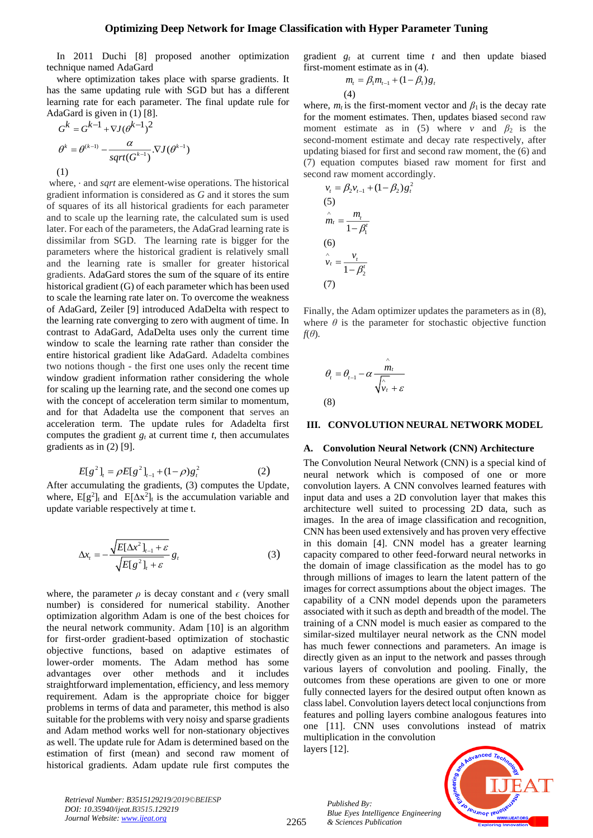#### **Optimizing Deep Network for Image Classification with Hyper Parameter Tuning**

In 2011 Duchi [8] proposed another optimization technique named AdaGard

where optimization takes place with sparse gradients. It has the same updating rule with SGD but has a different learning rate for each parameter. The final update rule for AdaGard is given in (1) [8].

$$
G^{k} = G^{k-1} + \nabla J(\theta^{k-1})^{2}
$$

$$
\theta^{k} = \theta^{(k-1)} - \frac{\alpha}{sqrt(G^{k-1})} \cdot \nabla J(\theta^{k-1})
$$

$$
(1)
$$

where, ⋅ and *sqrt* are element-wise operations. The historical gradient information is considered as *G* and it stores the sum of squares of its all historical gradients for each parameter and to scale up the learning rate, the calculated sum is used later. For each of the parameters, the AdaGrad learning rate is dissimilar from SGD. The learning rate is bigger for the parameters where the historical gradient is relatively small and the learning rate is smaller for greater historical gradients. AdaGard stores the sum of the square of its entire historical gradient (G) of each parameter which has been used to scale the learning rate later on. To overcome the weakness of AdaGard, Zeiler [9] introduced AdaDelta with respect to the learning rate converging to zero with augment of time. In contrast to AdaGard, AdaDelta uses only the current time window to scale the learning rate rather than consider the entire historical gradient like AdaGard. Adadelta combines two notions though - the first one uses only the recent time window gradient information rather considering the whole for scaling up the learning rate, and the second one comes up with the concept of acceleration term similar to momentum, and for that Adadelta use the component that serves an acceleration term. The update rules for Adadelta first computes the gradient  $g_t$  at current time  $t$ , then accumulates gradients as in (2) [9].

$$
E[g^{2}]_{t} = \rho E[g^{2}]_{t-1} + (1-\rho)g_{t}^{2}
$$
 (2)

After accumulating the gradients, (3) computes the Update, where,  $E[g^2]_t$  and  $E[\Delta x^2]_t$  is the accumulation variable and update variable respectively at time t.

$$
\Delta x_{t} = -\frac{\sqrt{E[\Delta x^{2}]_{t-1} + \varepsilon}}{\sqrt{E[g^{2}]_{t} + \varepsilon}} g_{t}
$$
 (3)

where, the parameter  $\rho$  is decay constant and  $\epsilon$  (very small number) is considered for numerical stability. Another optimization algorithm Adam is one of the best choices for the neural network community. Adam [10] is an algorithm for first-order gradient-based optimization of stochastic objective functions, based on adaptive estimates of lower-order moments. The Adam method has some advantages over other methods and it includes straightforward implementation, efficiency, and less memory requirement. Adam is the appropriate choice for bigger problems in terms of data and parameter, this method is also suitable for the problems with very noisy and sparse gradients and Adam method works well for non-stationary objectives as well. The update rule for Adam is determined based on the estimation of first (mean) and second raw moment of historical gradients. Adam update rule first computes the gradient  $g_t$  at current time  $t$  and then update biased first-moment estimate as in (4).

$$
m_{t} = \beta_{1} m_{t-1} + (1 - \beta_{1}) g_{t}
$$
  
(4)

where,  $m_t$  is the first-moment vector and  $\beta_1$  is the decay rate for the moment estimates. Then, updates biased second raw moment estimate as in (5) where *v* and  $\beta_2$  is the second-moment estimate and decay rate respectively, after updating biased for first and second raw moment, the (6) and (7) equation computes biased raw moment for first and second raw moment accordingly.

$$
v_t = \beta_2 v_{t-1} + (1 - \beta_2) g_t^2
$$
  
(5)  

$$
\hat{m}_t = \frac{m_t}{1 - \beta_1^t}
$$
  
(6)  

$$
\hat{v}_t = \frac{v_t}{1 - \beta_2^t}
$$
  
(7)

Finally, the Adam optimizer updates the parameters as in (8), where  $\theta$  is the parameter for stochastic objective function *f*(*θ*)*.*

$$
\theta_t = \theta_{t-1} - \alpha \frac{\hat{m}_t}{\sqrt{\hat{v}_t + \varepsilon}}
$$
\n(8)

# **III. CONVOLUTION NEURAL NETWORK MODEL**

#### **A. Convolution Neural Network (CNN) Architecture**

The Convolution Neural Network (CNN) is a special kind of neural network which is composed of one or more convolution layers. A CNN convolves learned features with input data and uses a 2D convolution layer that makes this architecture well suited to processing 2D data, such as images. In the area of image classification and recognition, CNN has been used extensively and has proven very effective in this domain [4]. CNN model has a greater learning capacity compared to other feed-forward neural networks in the domain of image classification as the model has to go through millions of images to learn the latent pattern of the images for correct assumptions about the object images. The capability of a CNN model depends upon the parameters associated with it such as depth and breadth of the model. The training of a CNN model is much easier as compared to the similar-sized multilayer neural network as the CNN model has much fewer connections and parameters. An image is directly given as an input to the network and passes through various layers of convolution and pooling. Finally, the outcomes from these operations are given to one or more fully connected layers for the desired output often known as class label. Convolution layers detect local conjunctions from features and polling layers combine analogous features into one [11]. CNN uses convolutions instead of matrix multiplication in the convolution layers [12].

*Retrieval Number: B3515129219/2019©BEIESP DOI: 10.35940/ijeat.B3515.129219 Journal Website[: www.ijeat.org](http://www.ijeat.org/)*

*Published By: Blue Eyes Intelligence Engineering & Sciences Publication*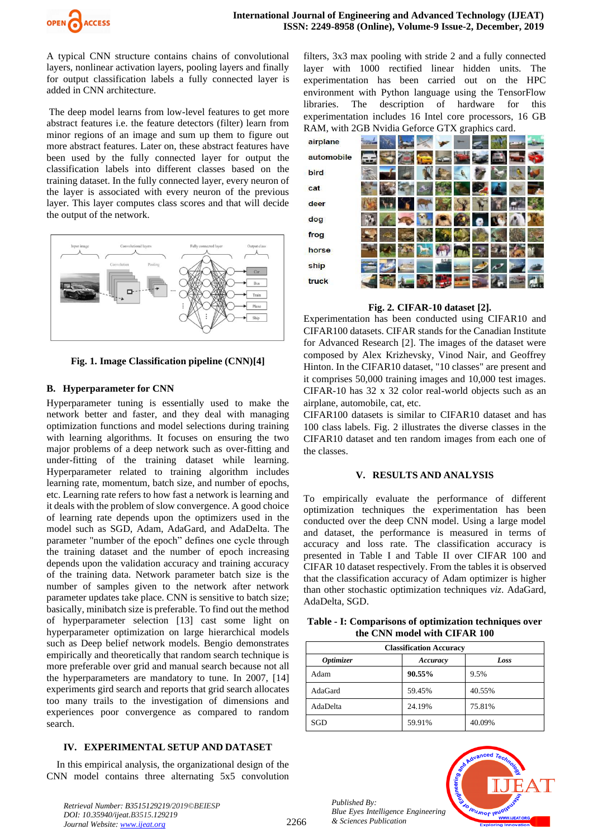

A typical CNN structure contains chains of convolutional layers, nonlinear activation layers, pooling layers and finally for output classification labels a fully connected layer is added in CNN architecture.

The deep model learns from low-level features to get more abstract features i.e. the feature detectors (filter) learn from minor regions of an image and sum up them to figure out more abstract features. Later on, these abstract features have been used by the fully connected layer for output the classification labels into different classes based on the training dataset. In the fully connected layer, every neuron of the layer is associated with every neuron of the previous layer. This layer computes class scores and that will decide the output of the network.



**Fig. 1. Image Classification pipeline (CNN)[4]**

# **B. Hyperparameter for CNN**

Hyperparameter tuning is essentially used to make the network better and faster, and they deal with managing optimization functions and model selections during training with learning algorithms. It focuses on ensuring the two major problems of a deep network such as over-fitting and under-fitting of the training dataset while learning. Hyperparameter related to training algorithm includes learning rate, momentum, batch size, and number of epochs, etc. Learning rate refers to how fast a network is learning and it deals with the problem of slow convergence. A good choice of learning rate depends upon the optimizers used in the model such as SGD, Adam, AdaGard, and AdaDelta. The parameter "number of the epoch" defines one cycle through the training dataset and the number of epoch increasing depends upon the validation accuracy and training accuracy of the training data. Network parameter batch size is the number of samples given to the network after network parameter updates take place. CNN is sensitive to batch size; basically, minibatch size is preferable. To find out the method of hyperparameter selection [13] cast some light on hyperparameter optimization on large hierarchical models such as Deep belief network models. Bengio demonstrates empirically and theoretically that random search technique is more preferable over grid and manual search because not all the hyperparameters are mandatory to tune. In 2007, [14] experiments gird search and reports that grid search allocates too many trails to the investigation of dimensions and experiences poor convergence as compared to random search.

# **IV. EXPERIMENTAL SETUP AND DATASET**

In this empirical analysis, the organizational design of the CNN model contains three alternating 5x5 convolution filters, 3x3 max pooling with stride 2 and a fully connected layer with 1000 rectified linear hidden units. The experimentation has been carried out on the HPC environment with Python language using the TensorFlow libraries. The description of hardware for this experimentation includes 16 Intel core processors, 16 GB RAM, with 2GB Nvidia Geforce GTX graphics card.



**Fig. 2***.* **CIFAR-10 dataset [2].**

Experimentation has been conducted using CIFAR10 and CIFAR100 datasets. CIFAR stands for the Canadian Institute for Advanced Research [2]. The images of the dataset were composed by Alex Krizhevsky, Vinod Nair, and Geoffrey Hinton. In the CIFAR10 dataset, "10 classes" are present and it comprises 50,000 training images and 10,000 test images. CIFAR-10 has 32 x 32 color real-world objects such as an airplane, automobile, cat, etc.

CIFAR100 datasets is similar to CIFAR10 dataset and has 100 class labels. Fig. 2 illustrates the diverse classes in the CIFAR10 dataset and ten random images from each one of the classes.

### **V. RESULTS AND ANALYSIS**

To empirically evaluate the performance of different optimization techniques the experimentation has been conducted over the deep CNN model. Using a large model and dataset, the performance is measured in terms of accuracy and loss rate. The classification accuracy is presented in Table I and Table II over CIFAR 100 and CIFAR 10 dataset respectively. From the tables it is observed that the classification accuracy of Adam optimizer is higher than other stochastic optimization techniques *viz*. AdaGard, AdaDelta, SGD.

#### **Table - I: Comparisons of optimization techniques over the CNN model with CIFAR 100**

| <b>Classification Accuracy</b> |          |        |  |
|--------------------------------|----------|--------|--|
| <i><b>Optimizer</b></i>        | Accuracy | Loss   |  |
| Adam                           | 90.55%   | 9.5%   |  |
| AdaGard                        | 59.45%   | 40.55% |  |
| AdaDelta                       | 24.19%   | 75.81% |  |
| SGD                            | 59.91%   | 40.09% |  |

![](_page_2_Picture_19.jpeg)

![](_page_2_Picture_20.jpeg)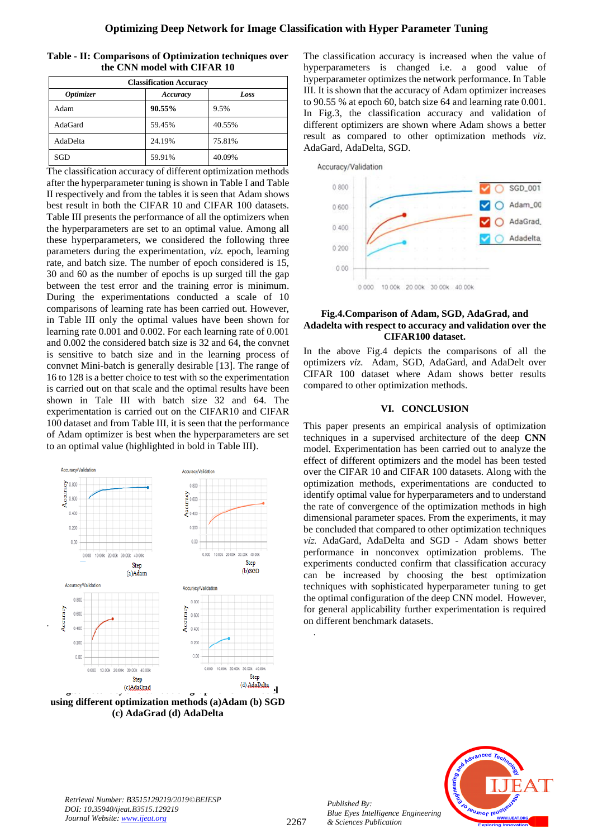| Table - II: Comparisons of Optimization techniques over |  |
|---------------------------------------------------------|--|
| the CNN model with CIFAR 10                             |  |

| <b>Classification Accuracy</b> |          |        |  |
|--------------------------------|----------|--------|--|
| <b>Optimizer</b>               | Accuracy | Loss   |  |
| Adam                           | 90.55%   | 9.5%   |  |
| AdaGard                        | 59.45%   | 40.55% |  |
| AdaDelta                       | 24.19%   | 75.81% |  |
| SGD                            | 59.91%   | 40.09% |  |

The classification accuracy of different optimization methods after the hyperparameter tuning is shown in Table I and Table II respectively and from the tables it is seen that Adam shows best result in both the CIFAR 10 and CIFAR 100 datasets. Table III presents the performance of all the optimizers when the hyperparameters are set to an optimal value. Among all these hyperparameters, we considered the following three parameters during the experimentation, *viz.* epoch, learning rate, and batch size. The number of epoch considered is 15, 30 and 60 as the number of epochs is up surged till the gap between the test error and the training error is minimum. During the experimentations conducted a scale of 10 comparisons of learning rate has been carried out. However, in Table III only the optimal values have been shown for learning rate 0.001 and 0.002. For each learning rate of 0.001 and 0.002 the considered batch size is 32 and 64, the convnet is sensitive to batch size and in the learning process of convnet Mini-batch is generally desirable [13]. The range of 16 to 128 is a better choice to test with so the experimentation is carried out on that scale and the optimal results have been shown in Tale III with batch size 32 and 64. The experimentation is carried out on the CIFAR10 and CIFAR 100 dataset and from Table III, it is seen that the performance of Adam optimizer is best when the hyperparameters are set to an optimal value (highlighted in bold in Table III).

![](_page_3_Figure_4.jpeg)

.

**using different optimization methods (a)Adam (b) SGD (c) AdaGrad (d) AdaDelta**

The classification accuracy is increased when the value of hyperparameters is changed i.e. a good value of hyperparameter optimizes the network performance. In Table III. It is shown that the accuracy of Adam optimizer increases to 90.55 % at epoch 60, batch size 64 and learning rate 0.001. In Fig.3, the classification accuracy and validation of different optimizers are shown where Adam shows a better result as compared to other optimization methods *viz*. AdaGard, AdaDelta, SGD.

![](_page_3_Figure_7.jpeg)

## **Fig.4.Comparison of Adam, SGD, AdaGrad, and Adadelta with respect to accuracy and validation over the CIFAR100 dataset.**

In the above Fig.4 depicts the comparisons of all the optimizers *viz.* Adam, SGD, AdaGard, and AdaDelt over CIFAR 100 dataset where Adam shows better results compared to other optimization methods.

# **VI. CONCLUSION**

This paper presents an empirical analysis of optimization techniques in a supervised architecture of the deep **CNN** model. Experimentation has been carried out to analyze the effect of different optimizers and the model has been tested over the CIFAR 10 and CIFAR 100 datasets. Along with the optimization methods, experimentations are conducted to identify optimal value for hyperparameters and to understand the rate of convergence of the optimization methods in high dimensional parameter spaces. From the experiments, it may be concluded that compared to other optimization techniques *viz.* AdaGard, AdaDelta and SGD - Adam shows better performance in nonconvex optimization problems. The experiments conducted confirm that classification accuracy can be increased by choosing the best optimization techniques with sophisticated hyperparameter tuning to get the optimal configuration of the deep CNN model. However, for general applicability further experimentation is required on different benchmark datasets.

![](_page_3_Picture_12.jpeg)

*.*

*Published By:*

*& Sciences Publication*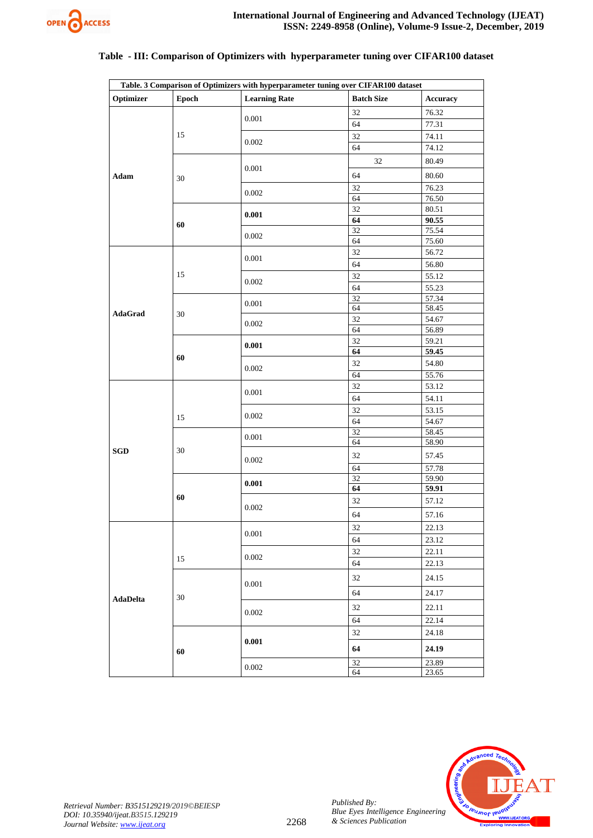![](_page_4_Picture_0.jpeg)

#### **Table. 3 Comparison of Optimizers with hyperparameter tuning over CIFAR100 dataset Optimizer Epoch Learning Rate Batch Size Accuracy Adam** 15 0.001 32 76.32 64 77.31 0.002 32 74.11 64 74.12 30 0.001 32 80.49 64 80.60  $\frac{32}{\epsilon}$  76.23 64 76.50 **60 0.001**  $\frac{32}{\epsilon}$  80.51 **64 90.55** 0.002 32 75.54 64 75.60 **AdaGrad** 15 0.001 32 56.72 64 56.80 0.002 32 55.12 64 55.23 30  $\frac{32}{64}$  57.34 64 58.45  $\frac{32}{100}$  54.67 64 56.89 **60 0.001**  $\frac{32}{64}$  59.21 **64 59.45** 0.002 32 54.80 64 55.76 **SGD** 15 0.001 32 53.12 64 54.11 0.002 32 53.15 64 54.67 30  $\frac{32}{64}$  58.45 64 58.90 0.002 32 57.45 64 57.78 **60 0.001**  $\frac{32}{64}$  59.90 **64 59.91** 0.002 32 57.12 64 57.16 **AdaDelta** 15 0.001 32 22.13 64 23.12 0.002 32 22.11 64 22.13 30 0.001 32 24.15 64 24.17 0.002 32 22.11 64 22.14 **60 0.001** 32 24.18 **64 24.19**  $\frac{32}{64}$  23.89 64 23.65

# **Table - III: Comparison of Optimizers with hyperparameter tuning over CIFAR100 dataset**

![](_page_4_Picture_4.jpeg)